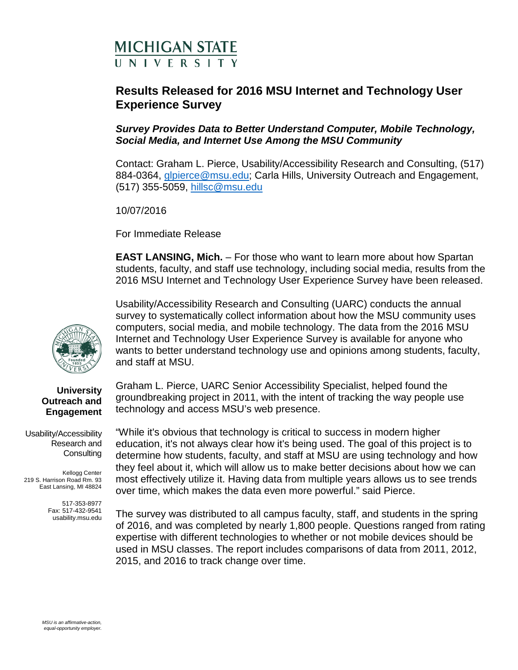# **MICHIGAN STATE** UNIVERSITY

# **Results Released for 2016 MSU Internet and Technology User Experience Survey**

## *Survey Provides Data to Better Understand Computer, Mobile Technology, Social Media, and Internet Use Among the MSU Community*

Contact: Graham L. Pierce, Usability/Accessibility Research and Consulting, (517) 884-0364, [glpierce@msu.edu;](mailto:glpierce@msu.edu) Carla Hills, University Outreach and Engagement, (517) 355-5059, [hillsc@msu.edu](mailto:hillsc@msu.edu)

10/07/2016

For Immediate Release

**EAST LANSING, Mich.** – For those who want to learn more about how Spartan students, faculty, and staff use technology, including social media, results from the 2016 MSU Internet and Technology User Experience Survey have been released.

Usability/Accessibility Research and Consulting (UARC) conducts the annual survey to systematically collect information about how the MSU community uses computers, social media, and mobile technology. The data from the 2016 MSU Internet and Technology User Experience Survey is available for anyone who wants to better understand technology use and opinions among students, faculty, and staff at MSU.

Graham L. Pierce, UARC Senior Accessibility Specialist, helped found the groundbreaking project in 2011, with the intent of tracking the way people use technology and access MSU's web presence.

"While it's obvious that technology is critical to success in modern higher education, it's not always clear how it's being used. The goal of this project is to determine how students, faculty, and staff at MSU are using technology and how they feel about it, which will allow us to make better decisions about how we can most effectively utilize it. Having data from multiple years allows us to see trends over time, which makes the data even more powerful." said Pierce.

The survey was distributed to all campus faculty, staff, and students in the spring of 2016, and was completed by nearly 1,800 people. Questions ranged from rating expertise with different technologies to whether or not mobile devices should be used in MSU classes. The report includes comparisons of data from 2011, 2012, 2015, and 2016 to track change over time.



#### **University Outreach and Engagement**

Usability/Accessibility Research and **Consulting** 

Kellogg Center 219 S. Harrison Road Rm. 93 East Lansing, MI 48824

> 517-353-8977 Fax: 517-432-9541 usability.msu.edu

*MSU is an affirmative-action, equal-opportunity employer.*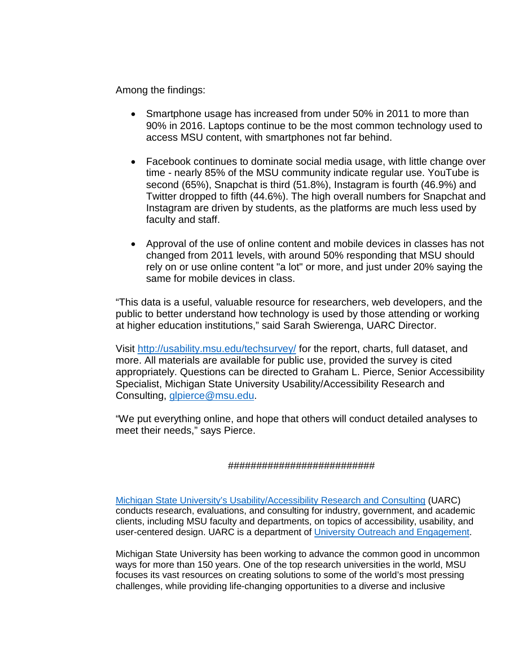Among the findings:

- Smartphone usage has increased from under 50% in 2011 to more than 90% in 2016. Laptops continue to be the most common technology used to access MSU content, with smartphones not far behind.
- Facebook continues to dominate social media usage, with little change over time - nearly 85% of the MSU community indicate regular use. YouTube is second (65%), Snapchat is third (51.8%), Instagram is fourth (46.9%) and Twitter dropped to fifth (44.6%). The high overall numbers for Snapchat and Instagram are driven by students, as the platforms are much less used by faculty and staff.
- Approval of the use of online content and mobile devices in classes has not changed from 2011 levels, with around 50% responding that MSU should rely on or use online content "a lot" or more, and just under 20% saying the same for mobile devices in class.

"This data is a useful, valuable resource for researchers, web developers, and the public to better understand how technology is used by those attending or working at higher education institutions," said Sarah Swierenga, UARC Director.

Visit [http://usability.msu.edu/techsurvey/](http://usability.msu.edu/techsurvey) for the report, charts, full dataset, and more. All materials are available for public use, provided the survey is cited appropriately. Questions can be directed to Graham L. Pierce, Senior Accessibility Specialist, Michigan State University Usability/Accessibility Research and Consulting, [glpierce@msu.edu.](mailto:glpierce@msu.edu)

"We put everything online, and hope that others will conduct detailed analyses to meet their needs," says Pierce.

### ##########################

Michigan State [University's Usability/Accessibility Research and Consulting](http://usability.msu.edu/) (UARC) conducts research, evaluations, and consulting for industry, government, and academic clients, including MSU faculty and departments, on topics of accessibility, usability, and user-centered design. UARC is a department of [University Outreach and Engagement.](http://outreach.msu.edu/)

Michigan State University has been working to advance the common good in uncommon ways for more than 150 years. One of the top research universities in the world, MSU focuses its vast resources on creating solutions to some of the world's most pressing challenges, while providing life-changing opportunities to a diverse and inclusive